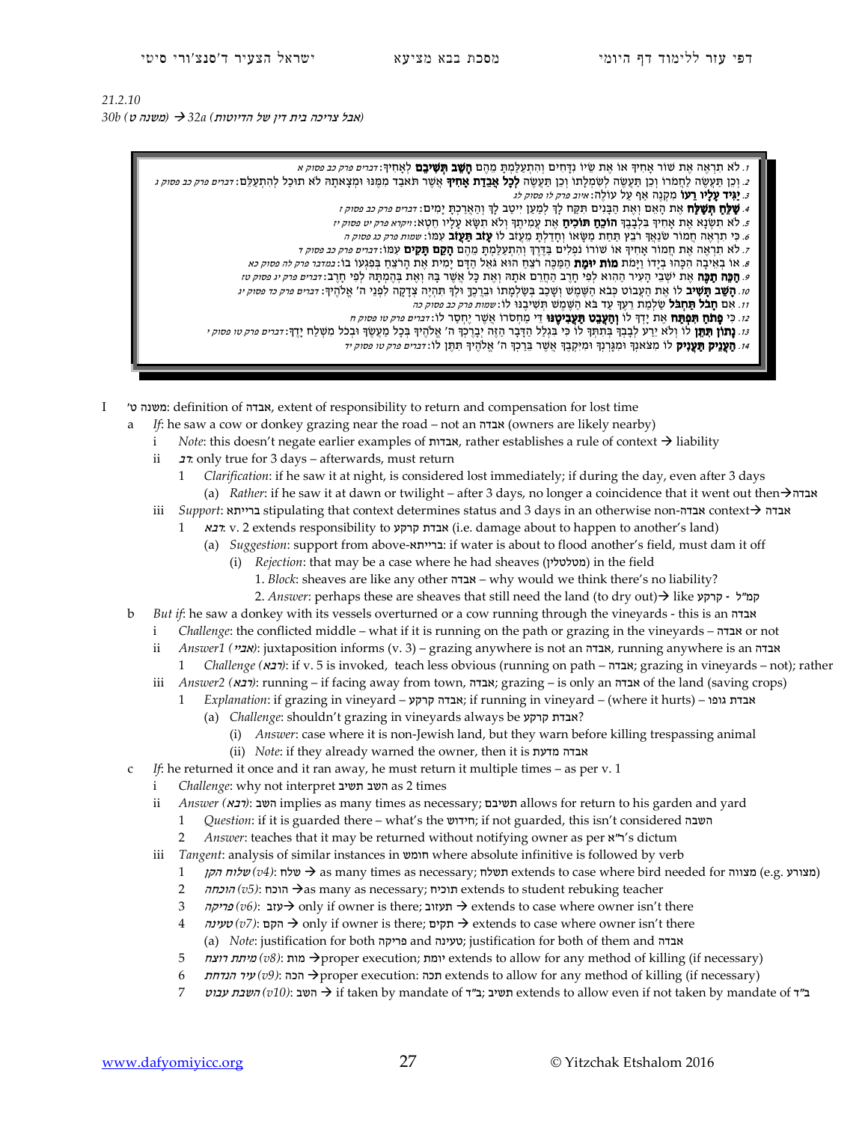## *21.2.10 (* אבל צריכה של דין בית הדיוטות*) a32 )* משנה ט*) b30*

- ז. לא תראה את שוֹר אחִיךְ אוֹ אֶת שִׂיוֹ נִדְחִים וְהִתְעַלְמַת מֵהֶם **הִשַּׁב תִּשִׁיבֵם** לְאַחִיךְ: *דְבִיים פרק כב פסוק א*
- 2. וְכֵן תַּעֲשֶׂה לַחֲמֹרוֹ וְכֵן תַּעֲשֶׂה לְשָׂמִלָתוֹ וְכֵן תַּעֲשֶׂה **לְכָל אַבְדָת אַחִיךְ א**ֲשֶׁר תאָבד מִמְּנוּ וּמִצְאתָה לֹא תוּכַל לְהִתְעַלֶם: *זכרים פרק כב פסוק ג* 
	- 3. **יַגִּיד עָלָיו רֵעוֹ** מִקְנֶה אַף עַל עוֹלֶה: *איוב פרק לו פסוק לג*
	- 4. **שַׁלֵּחַ תְּשָׁלַח** אֶת הָאֵם וְאֶת הַבָּנִים תִּקַח לָךְ לְמַעַן יִיטַב לָךְ וְהַאֲרַכְתָּ יָמִים: *זברים פרק כב פסוק ז*
	- 5. לא תִשְׂנָא אֶת אָחִיךָ בִּלְבָבֶךְ **הוֹכֵחַ תּוֹכִיחַ** אֶת עֲמִיתֶךְ וְלֹא תִשָּׂא עָלָיו חֵטְא: *ויקרא פרק יט פסוק יז*
	- 6. כִּי תִרְאֶה חֻמוֹר שׂנַאֵךְ רֹבֵץ תַּחַת מַשָּׂאוֹ וְחַדַלְתְּ מֵעֲזֹב לוֹ **עָזֹב תַּעֲזֹב** עְמּוֹ: *שמות פרק כג פסוק ה*
	- 7. לא תִרְאֶה אֶת חֲמוֹר אָחִיךָ אוֹ שׁוֹרוֹ נֹפְלִים בַּדֶּרֶךְ וְהִתְעַלְמְתָּ מֵהֶם **הָקֵם תָּקִים** עִמּוֹ ד*ּברִים פרק כב פסוק ד* 8. אוֹ בְאֵיכָה הְכָהוּ בְיָדוֹ וַיָּמֹת **מוֹת יוּמֶת** הַמַּכֶּה רֹצֵח הוּא גֹּאֵל הַדְּם יָמִית אֶת הָרֹצֵח בִּפְגִעוֹ בוֹ: *במדבר פרק לה פסוק כא*
	- *9.* **הַכֵּה תִכֵּה** אֶת יֹשָׁבֵי הַעְיר הַהְוֹא לִפִי חִרֶב הַחַרֵם אִתָּה וְאִת כַּל אֲשֶׁר בַּהּ וְאֶת בַּהְמִתָּהּ לְפִי חַרֲב: *דִּבִיים פרק יג פסוק טז*
	- 10. **הַשֵּׁב תִּשִּׁיב** לוֹ אֵת הַעֲבוֹט כִּבֹא הַשֵּׁמֵשׁ וְשָׁכַב בְּשַׂלְמָתוֹ וּבֵרֶכֶךְ וּלְךָּ תִּהְיֶה צְדָקָה לִפְנֵי ה' אֱלֹהֶיךָ: *דברים פרק כד פסוק יג* 
		- 11. אִם חָבֹל תַּחְבֹל שַׁלְמַת רֵעֶךְ עַד בֹּא הַשֶּׁמֶשׁ תְּשִׁיבֶנוּ לוֹ:שמות פרק כב פסוק כה
		- 12. כִּי **פֵתֹחַ תִּפְתֵּח** אֶת יַדְךָ לוֹ **וְהַעֲבֵט תַּעֲבִיטֶנּוּ** דֵּי מַחְסֹרוֹ אֲשֶׁר יֶחְסֶר לוֹ: *דברים פרק טו פסוק ח*
	- 13. **נָתוֹן תִּתֵּן** לוֹ וְלֹא יֵרַע לְבָבְךָ בְּתִתְּךָ לוֹ כִּי בִּגְלַל הַדָּבְר הַזֶּה יְבֶרֶכְךָ ה' אֱלֹהֶיךָ בְּכָל מַעֲשֶׂךָ וּבְכֹל מִשְׁלַח יָדֶךָ: *דברים פרק טו פסוק* י
		- 14. **הַעֲנֵיק תַּעֲנִיק** לוֹ מִצֹּאנִךְ וּמְגַרְנָךְ וּמִיִקְבֶךְ אֲשֶׁר בֶּרַכְךָ ה' אֱלֹהֶיךָ תִּתֶּן לוֹ: *דברים פרק טו פסוק יד*
- I 'ט משנה: definition of אבדה, extent of responsibility to return and compensation for lost time
	- a *If*: he saw a cow or donkey grazing near the road not an אבדה (owners are likely nearby)
		- i *Note*: this doesn't negate earlier examples of אבדות, rather establishes a rule of context liability
		- ii רב: only true for 3 days afterwards, must return
			- 1 *Clarification*: if he saw it at night, is considered lost immediately; if during the day, even after 3 days (a) *Rather*: if he saw it at dawn or twilight – after 3 days, no longer a coincidence that it went out thenאבדה
		- iii *Support*: ברייתא stipulating that context determines status and 3 days in an otherwise non-אבדה context אבדה
			- 1 רבא: v. 2 extends responsibility to האבדת קרקע) i.e. damage about to happen to another's land)
				- (a) *Suggestion*: support from above-ברייתא: if water is about to flood another's field, must dam it off
					- (i) *Rejection*: that may be a case where he had sheaves (מטלטלין (in the field
						- 1. *Block*: sheaves are like any other אבדה why would we think there's no liability?
						- 2. *Answer*: perhaps these are sheaves that still need the land (to dry out) like קרקע ל"קמ
	- b *But if*: he saw a donkey with its vessels overturned or a cow running through the vineyards this is an אבדה
		- i *Challenge*: the conflicted middle what if it is running on the path or grazing in the vineyards אבדה or not
		- ii *Answer1 (אביי*): juxtaposition informs (v. 3) grazing anywhere is not an אבדה, running anywhere is an אבדה
			- 1 *Challenge (*רבא*(*: if v. 5 is invoked, teach less obvious (running on path אבדה ;grazing in vineyards not); rather
		- iii *Answer2 (*רבא*(*: running if facing away from town, אבדה ;grazing is only an אבדה of the land (saving crops)
			- 1 *Explanation*: if grazing in vineyard קרקע אבדה ;if running in vineyard (where it hurts) גופו אבדת
				- (a) *Challenge*: shouldn't grazing in vineyards always be קרקע אבדת ?
					- (i) *Answer*: case where it is non-Jewish land, but they warn before killing trespassing animal
					- (ii) *Note*: if they already warned the owner, then it is מדעת אבדה
	- c *If*: he returned it once and it ran away, he must return it multiple times as per v. 1
		- i *Challenge*: why not interpret תשיב השב as 2 times
			- ii *Answer (: השב:(רבא*) implies as many times as necessary; השיבם allows for return to his garden and yard
				- 1 *Question*: if it is guarded there what's the חידוש ;if not guarded, this isn't considered השבה
				- 2 *Answer*: teaches that it may be returned without notifying owner as per א"ר's dictum
			- iii *Tangent*: analysis of similar instances in חומש where absolute infinitive is followed by verb
				- 1 (מצורע (e.g. שלח  $v4$ ): שלוח הקן extends to case where bird needed for מצווה) extends to case where hird needed for
				- 2 הוכחה  $(v5)$ : הוכחה as many as necessary; תוכיח extends to student rebuking teacher
				- 3 *only* if owner is there; ועזוב → extends to case where owner isn't there
				- 4 טעינה*) v7)*: הקם only if owner is there; תקים extends to case where owner isn't there (a) *Note*: justification for both פריקה and טעינה ;justification for both of them and אבדה
				- 5 רוצח מיתת*) v8)*: מות proper execution; יומת extends to allow for any method of killing (if necessary)
				- 6 הנדחת עיר*) v9)*: הכה proper execution: תכה extends to allow for any method of killing (if necessary)
				- 7 עבוט השבת*) v10)*: השב if taken by mandate of ד"ב ;תשיב extends to allow even if not taken by mandate of ד"ב